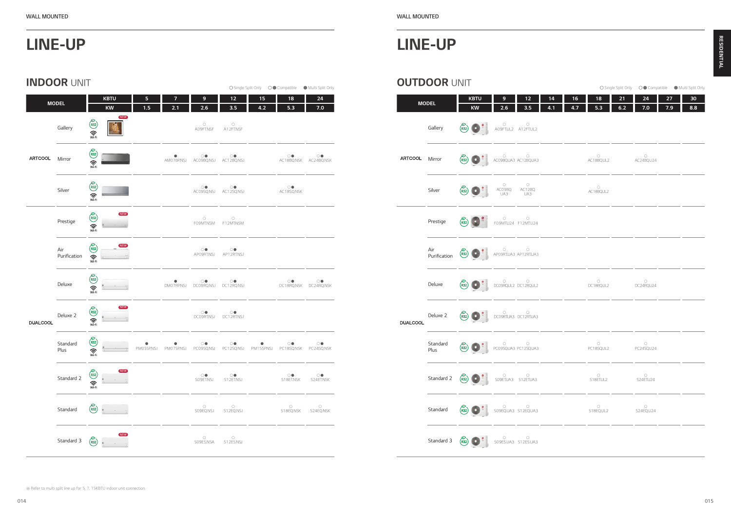|                 | <b>INDOOR UNIT</b>  |                                                                                      |            |                         |                                  |                                                                                              |           |                                             | ○ Single Split Only ○● Compatible ● Multi Split Only |                 | <b>OUTDOOR UNIT</b> |                                          |
|-----------------|---------------------|--------------------------------------------------------------------------------------|------------|-------------------------|----------------------------------|----------------------------------------------------------------------------------------------|-----------|---------------------------------------------|------------------------------------------------------|-----------------|---------------------|------------------------------------------|
|                 | <b>MODEL</b>        | <b>KBTU</b><br>$\mathsf{K}\mathsf{W}$                                                | 5<br>1.5   | $\overline{7}$<br>2.1   | $\mathbf 9$<br>2.6               | $12$<br>3.5                                                                                  | 15<br>4.2 | 18<br>5.3                                   | 24<br>7.0                                            |                 | <b>MODEL</b>        |                                          |
|                 | Gallery             | <b>NEW</b><br>$\begin{pmatrix} R32 \\ \overline{3}2 \end{pmatrix}$                   |            |                         | $\circlearrowright$<br>A09FT.NSF | $\circlearrowright$<br>A12FT.NSF                                                             |           |                                             |                                                      |                 | Gallery             | $\begin{pmatrix} 2 \\ R32 \end{pmatrix}$ |
| <b>ARTCOOL</b>  | Mirror              | $R32$<br>$R32$<br>$\binom{R32}{N+1}$                                                 |            | $\overbrace{AM07BPNSJ}$ |                                  | OO OO<br>AC09BQ.NSJ AC12BQ.NSJ                                                               |           |                                             | OO OO OO AC18BQ.NSK AC24BQ.NSK                       | ARTCOOL Mirror  |                     | $\begin{pmatrix} 2 \\ R32 \end{pmatrix}$ |
|                 | Silver              | $\begin{pmatrix} R32 \\ \overline{3}2 \end{pmatrix}$                                 |            |                         |                                  | OO OO<br>AC09SQ.NSJ AC12SQ.NSJ                                                               |           | $\overbrace{AC18SQ.NSK}^{\bigcirc \bullet}$ |                                                      |                 | Silver              | $\begin{pmatrix} 2 \\ R32 \end{pmatrix}$ |
|                 | Prestige            | <b>NEW</b><br>$\begin{pmatrix} R32 \\ \overline{3} \cdot R1 \end{pmatrix}$           |            |                         | $\circlearrowright$<br>F09MT.NSM | $\circlearrowright$<br>F12MT.NSM                                                             |           |                                             |                                                      |                 | Prestige            | $\begin{pmatrix} 2 \\ R32 \end{pmatrix}$ |
|                 | Air<br>Purification | $\begin{pmatrix} 2 \\ R32 \end{pmatrix}$<br>$\widehat{\mathcal{C}}$                  |            |                         | $\circlearrowleft$               | $\circledcirc$<br>APO9RT.NSJ AP12RT.NSJ                                                      |           |                                             |                                                      |                 | Air<br>Purification | $\begin{pmatrix} 2 \\ R32 \end{pmatrix}$ |
|                 | Deluxe              | $\begin{pmatrix} \overbrace{11} & 0 \\ 0 & 0 \\ 0 & 0 \end{pmatrix}$                 |            |                         |                                  |                                                                                              |           | OO OO<br>DC18RQ.NSK DC24RQ.NSK              |                                                      |                 | Deluxe              | $\begin{pmatrix} 2 \\ R32 \end{pmatrix}$ |
| <b>DUALCOOL</b> | Deluxe 2            | <b>NEW</b><br>$R32$<br>$R32$<br>$\binom{R32}{N+1}$                                   |            |                         | $\circlearrowleft$               | $\circledcirc$<br>DC09RT.NSJ DC12RT.NSJ                                                      |           |                                             |                                                      | <b>DUALCOOL</b> | Deluxe 2            | $\begin{pmatrix} 2 \\ R32 \end{pmatrix}$ |
|                 | Standard<br>Plus    | $\begin{pmatrix} 2 \\ 132 \end{pmatrix}$<br>$\widehat{\mathbf{S}}$                   | PM05SP.NSJ | PM07SP.NSJ              |                                  | OO OO OO OO OO OO OO OO OO DEED MAARDEN POOSQANSI POOSQANSI PM15SP.NSI PC18SQ.NSK PC24SQ.NSK |           |                                             |                                                      |                 | Standard<br>Plus    | $\begin{pmatrix} 2 \\ R32 \end{pmatrix}$ |
|                 | Standard 2          | $\begin{pmatrix} 2 \\ R32 \end{pmatrix}$<br><b>NEW</b><br>$\widehat{\sum_{i=1}^{N}}$ |            |                         | $\bigcirc$ sogetins.             | $\overline{\text{S12ETNSJ}}$                                                                 |           | $\overbrace{S18ET.NSK}^{\circ}$             | $\overline{\text{S24ET.} }$ NSK                      |                 | Standard 2          | $\binom{5}{1}$                           |
|                 | Standard            | $\binom{5}{132}$                                                                     |            |                         | $\circ$<br>SO9EQ.NSJ             | $\circ$<br>S12EQ.NSJ                                                                         |           | $\overset{\bigcirc}{\mathsf{S18EQ.}$ NSK    | $\overset{\bigcirc}{\mathsf{S24EQ.}\mathsf{NSK}}$    |                 | Standard            | $\binom{5}{1}$                           |
|                 | Standard 3          | $N$ NEW<br>$\mathcal{E}_{\mathsf{R32}}$                                              |            |                         | $\bigcirc$<br>S09ES.NSA          | $\bigcirc$<br>S12ES.NSJ                                                                      |           |                                             |                                                      |                 | Standard 3          | $\binom{5}{1}$                           |

|                 | UU IDUUN UNII    |                                                                                                                                                                                                                                    |                          |                                   |           |           |                                   |           |                                        |           | ○ Single Split Only ○● Compatible ● Multi Split Only |
|-----------------|------------------|------------------------------------------------------------------------------------------------------------------------------------------------------------------------------------------------------------------------------------|--------------------------|-----------------------------------|-----------|-----------|-----------------------------------|-----------|----------------------------------------|-----------|------------------------------------------------------|
|                 | <b>MODEL</b>     | <b>KBTU</b><br><b>KW</b>                                                                                                                                                                                                           | 9<br>2.6                 | $12$<br>3.5                       | 14<br>4.1 | 16<br>4.7 | 18<br>5.3                         | 21<br>6.2 | 24<br>7.0                              | 27<br>7.9 | 30<br>8.8                                            |
|                 | Gallery          | $\begin{array}{ c c c c c }\n\hline\n\text{R32} & \text{AOSFTUL2} & \text{A12FTUL2}\n\hline\n\end{array}$                                                                                                                          |                          |                                   |           |           |                                   |           |                                        |           |                                                      |
| <b>ARTCOOL</b>  | Mirror           | $R32$ $R32$ $ACO9BQUA3 AC12BQUA3$                                                                                                                                                                                                  |                          |                                   |           |           | $\circ$<br>AC18BQ.UL2             |           | $\circ$<br>AC24BQ.U24                  |           |                                                      |
|                 | Silver           | $\left(\begin{matrix} 2 \\ R32 \end{matrix}\right)$                                                                                                                                                                                |                          | O O<br>AC09BQ. AC12BQ.<br>UA3 UA3 |           |           | $\circlearrowright$<br>AC18BQ.UL2 |           |                                        |           |                                                      |
|                 | Prestige         | $\binom{5}{R32}$                                                                                                                                                                                                                   | O<br>FO9MT.U24 F12MT.U24 |                                   |           |           |                                   |           |                                        |           |                                                      |
|                 |                  | Air<br>Purification (832) APO9RTUA3 AP12RTUA3                                                                                                                                                                                      |                          |                                   |           |           |                                   |           |                                        |           |                                                      |
| <b>DUALCOOL</b> | Deluxe           | <b>(R32) DEPARTMENT DESPERIERT DE LA POSTAGE DE LA POSTAGE DE LA POSTAGE DE LA POSTAGE DE LA POSTAGE DE LA POSTAGE DE LA POSTAGE DE LA POSTAGE DE LA POSTAGE DE LA POSTAGE DE LA POSTAGE DE LA POSTAGE DE LA POSTAGE DE LA POS</b> |                          |                                   |           |           | $\overline{O}$<br>DC18RQUL2       |           | $\circ$<br>DC24RQU24                   |           |                                                      |
|                 | Deluxe 2         | <b>(R32) COOPRTUAS DCOORTUAS</b>                                                                                                                                                                                                   |                          |                                   |           |           |                                   |           |                                        |           |                                                      |
|                 | Standard<br>Plus | (R32)                                                                                                                                                                                                                              |                          | O O<br>PC09SQUA3 PC12SQUA3        |           |           | $\circ$<br>PC18SQ.UL2             |           | $\overline{\phantom{0}}$<br>PC24SQ.U24 |           |                                                      |
|                 | Standard 2       | $\binom{5}{R32}$                                                                                                                                                                                                                   |                          | O<br>SO9ET.UA3 S12ET.UA3          |           |           | O<br>S18ET.UL2                    |           | $\circ$<br>S24ET.U24                   |           |                                                      |
|                 | Standard         | $R_{32}$                                                                                                                                                                                                                           |                          | $O$<br>SO9EQ.UA3 S12EQ.UA3        |           |           | $\circ$<br>S18EQ.UL2              |           | $\overline{\phantom{0}}$<br>S24EQ.U24  |           |                                                      |
|                 |                  | Standard 3 $(83)$                                                                                                                                                                                                                  |                          | O O<br>SO9ES.UA3 S12ES.UA3        |           |           |                                   |           |                                        |           |                                                      |
|                 |                  |                                                                                                                                                                                                                                    |                          |                                   |           |           |                                   |           |                                        |           |                                                      |

## LINE-UP

## LINE-UP

| <b>WALL MOUNTED</b> |
|---------------------|
|                     |

014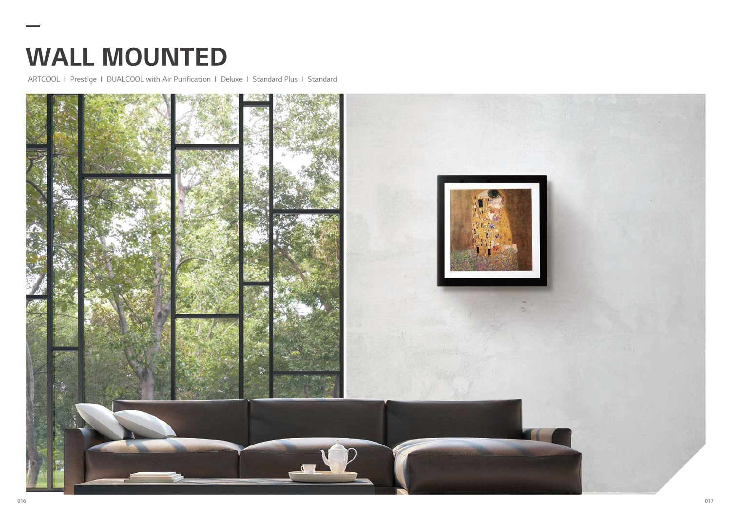ARTCOOL I Prestige I DUALCOOL with Air Purification I Deluxe I Standard Plus I Standard



# WALL MOUNTED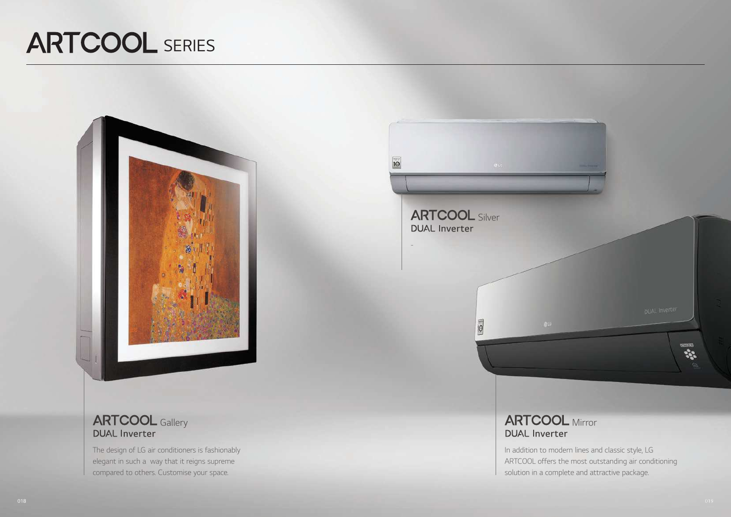

## **ARTCOOL** Gallery **DUAL Inverter**



The design of LG air conditioners is fashionably elegant in such a way that it reigns supreme compared to others. Customise your space.

 $\overline{10}$ **ARTCOOL** Silver **DUAL Inverter**  $\sqrt{2}$ al G **ARTCOOL** Mirror **DUAL Inverter** In addition to modern lines and classic style, LG ARTCOOL offers the most outstanding air conditioning solution in a complete and attractive package.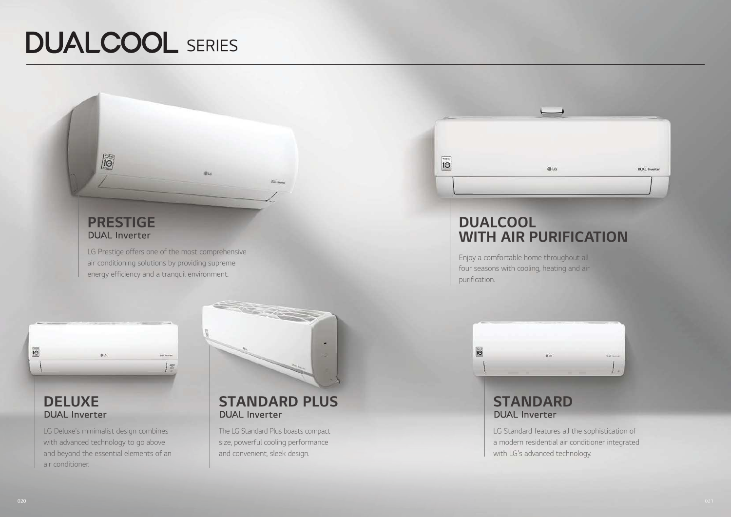LG Prestige offers one of the most comprehensive air conditioning solutions by providing supreme energy efficiency and a tranquil environment.

**BUT** 

# **DELUXE**

LG Deluxe's minimalist design combines with advanced technology to go above and beyond the essential elements of an air conditioner.

 $0.5$ 



**DOLLARS** 

# **DELUXE STANDARD PLUS** STANDARD NUAL Inverter

# RESIDENTIAL SERIES ANNUAL SERIES EN EN ENTRE EN EL ENTRE EN EL ENTRE EN EL ENTRE EN EL ENTRE EN EL ENTRE EN EL<br>EN EL ENTRE EN EL ENTRE EN EL ENTRE EN EL ENTRE EN EL ENTRE EN EL ENTRE EN EL ENTRE EN EL ENTRE EN EL ENTRE EN

## PRESTIGE**DUAL Inverter**

 $\sqrt{6}$ 

## **DUALCOOL** WITH AIR PURIFICATION

The LG Standard Plus boasts compact size, powerful cooling performance and convenient, sleek design.

LG Standard features all the sophistication of a modern residential air conditioner integrated with LG's advanced technology.

Enjoy a comfortable home throughout all four seasons with cooling, heating and air purification.

 $\overline{10}$ 



 $\overline{10}$ 

![](_page_3_Picture_13.jpeg)